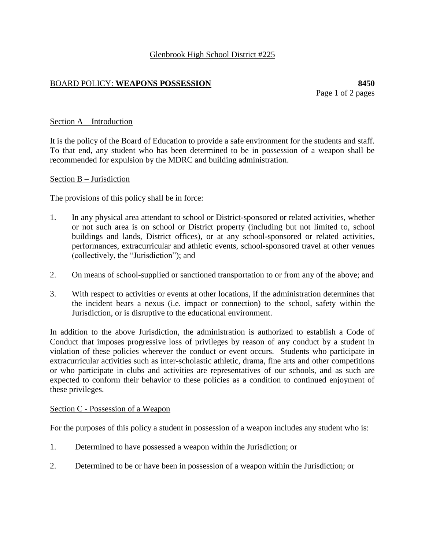# Glenbrook High School District #225

# BOARD POLICY: **WEAPONS POSSESSION 8450**

Page 1 of 2 pages

## Section A – Introduction

It is the policy of the Board of Education to provide a safe environment for the students and staff. To that end, any student who has been determined to be in possession of a weapon shall be recommended for expulsion by the MDRC and building administration.

#### Section B – Jurisdiction

The provisions of this policy shall be in force:

- 1. In any physical area attendant to school or District-sponsored or related activities, whether or not such area is on school or District property (including but not limited to, school buildings and lands, District offices), or at any school-sponsored or related activities, performances, extracurricular and athletic events, school-sponsored travel at other venues (collectively, the "Jurisdiction"); and
- 2. On means of school-supplied or sanctioned transportation to or from any of the above; and
- 3. With respect to activities or events at other locations, if the administration determines that the incident bears a nexus (i.e. impact or connection) to the school, safety within the Jurisdiction, or is disruptive to the educational environment.

In addition to the above Jurisdiction, the administration is authorized to establish a Code of Conduct that imposes progressive loss of privileges by reason of any conduct by a student in violation of these policies wherever the conduct or event occurs. Students who participate in extracurricular activities such as inter-scholastic athletic, drama, fine arts and other competitions or who participate in clubs and activities are representatives of our schools, and as such are expected to conform their behavior to these policies as a condition to continued enjoyment of these privileges.

#### Section C - Possession of a Weapon

For the purposes of this policy a student in possession of a weapon includes any student who is:

- 1. Determined to have possessed a weapon within the Jurisdiction; or
- 2. Determined to be or have been in possession of a weapon within the Jurisdiction; or